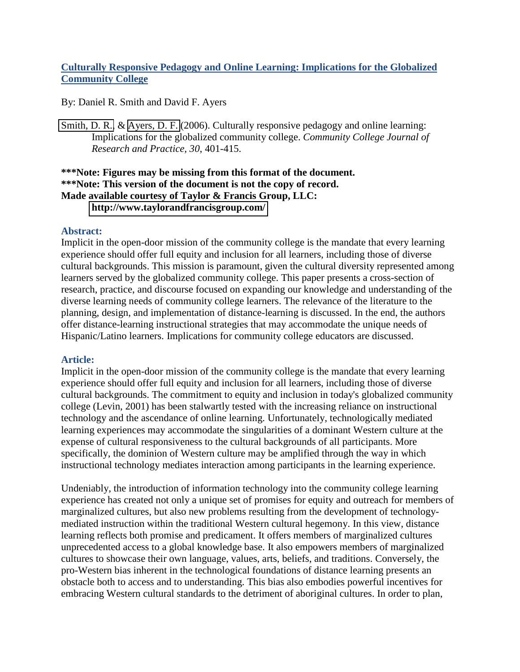# **Culturally Responsive Pedagogy and Online Learning: Implications for the Globalized Community College**

By: Daniel R. Smith and David F. Ayers

[Smith, D. R.,](http://libres.uncg.edu/ir/clist.aspx?id=1804) & [Ayers, D. F.](http://libres.uncg.edu/ir/clist.aspx?id=918) (2006). Culturally responsive pedagogy and online learning: Implications for the globalized community college. *Community College Journal of Research and Practice, 30*, 401-415.

## **\*\*\*Note: Figures may be missing from this format of the document. \*\*\*Note: This version of the document is not the copy of record. Made available courtesy of Taylor & Francis Group, LLC: [http://www.taylorandfrancisgroup.com/](http://www.taylorandfrancisgroup.com)**

### **Abstract:**

Implicit in the open-door mission of the community college is the mandate that every learning experience should offer full equity and inclusion for all learners, including those of diverse cultural backgrounds. This mission is paramount, given the cultural diversity represented among learners served by the globalized community college. This paper presents a cross-section of research, practice, and discourse focused on expanding our knowledge and understanding of the diverse learning needs of community college learners. The relevance of the literature to the planning, design, and implementation of distance-learning is discussed. In the end, the authors offer distance-learning instructional strategies that may accommodate the unique needs of Hispanic/Latino learners. Implications for community college educators are discussed.

## **Article:**

Implicit in the open-door mission of the community college is the mandate that every learning experience should offer full equity and inclusion for all learners, including those of diverse cultural backgrounds. The commitment to equity and inclusion in today's globalized community college (Levin, 2001) has been stalwartly tested with the increasing reliance on instructional technology and the ascendance of online learning. Unfortunately, technologically mediated learning experiences may accommodate the singularities of a dominant Western culture at the expense of cultural responsiveness to the cultural backgrounds of all participants. More specifically, the dominion of Western culture may be amplified through the way in which instructional technology mediates interaction among participants in the learning experience.

Undeniably, the introduction of information technology into the community college learning experience has created not only a unique set of promises for equity and outreach for members of marginalized cultures, but also new problems resulting from the development of technologymediated instruction within the traditional Western cultural hegemony. In this view, distance learning reflects both promise and predicament. It offers members of marginalized cultures unprecedented access to a global knowledge base. It also empowers members of marginalized cultures to showcase their own language, values, arts, beliefs, and traditions. Conversely, the pro-Western bias inherent in the technological foundations of distance learning presents an obstacle both to access and to understanding. This bias also embodies powerful incentives for embracing Western cultural standards to the detriment of aboriginal cultures. In order to plan,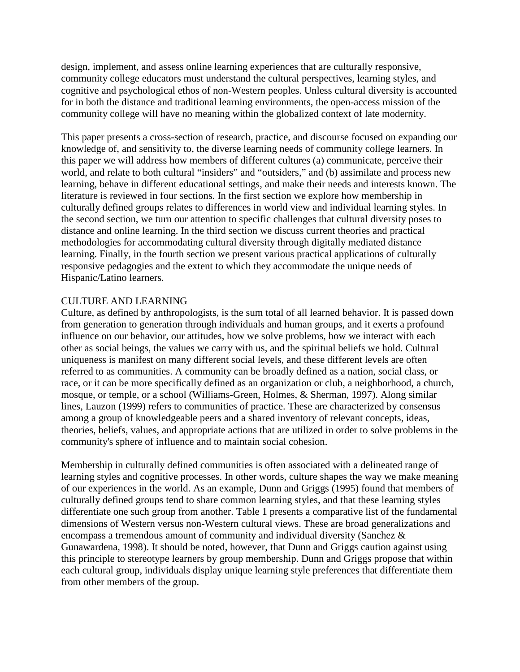design, implement, and assess online learning experiences that are culturally responsive, community college educators must understand the cultural perspectives, learning styles, and cognitive and psychological ethos of non-Western peoples. Unless cultural diversity is accounted for in both the distance and traditional learning environments, the open-access mission of the community college will have no meaning within the globalized context of late modernity.

This paper presents a cross-section of research, practice, and discourse focused on expanding our knowledge of, and sensitivity to, the diverse learning needs of community college learners. In this paper we will address how members of different cultures (a) communicate, perceive their world, and relate to both cultural "insiders" and "outsiders," and (b) assimilate and process new learning, behave in different educational settings, and make their needs and interests known. The literature is reviewed in four sections. In the first section we explore how membership in culturally defined groups relates to differences in world view and individual learning styles. In the second section, we turn our attention to specific challenges that cultural diversity poses to distance and online learning. In the third section we discuss current theories and practical methodologies for accommodating cultural diversity through digitally mediated distance learning. Finally, in the fourth section we present various practical applications of culturally responsive pedagogies and the extent to which they accommodate the unique needs of Hispanic/Latino learners.

### CULTURE AND LEARNING

Culture, as defined by anthropologists, is the sum total of all learned behavior. It is passed down from generation to generation through individuals and human groups, and it exerts a profound influence on our behavior, our attitudes, how we solve problems, how we interact with each other as social beings, the values we carry with us, and the spiritual beliefs we hold. Cultural uniqueness is manifest on many different social levels, and these different levels are often referred to as communities. A community can be broadly defined as a nation, social class, or race, or it can be more specifically defined as an organization or club, a neighborhood, a church, mosque, or temple, or a school (Williams-Green, Holmes, & Sherman, 1997). Along similar lines, Lauzon (1999) refers to communities of practice. These are characterized by consensus among a group of knowledgeable peers and a shared inventory of relevant concepts, ideas, theories, beliefs, values, and appropriate actions that are utilized in order to solve problems in the community's sphere of influence and to maintain social cohesion.

Membership in culturally defined communities is often associated with a delineated range of learning styles and cognitive processes. In other words, culture shapes the way we make meaning of our experiences in the world. As an example, Dunn and Griggs (1995) found that members of culturally defined groups tend to share common learning styles, and that these learning styles differentiate one such group from another. Table 1 presents a comparative list of the fundamental dimensions of Western versus non-Western cultural views. These are broad generalizations and encompass a tremendous amount of community and individual diversity (Sanchez & Gunawardena, 1998). It should be noted, however, that Dunn and Griggs caution against using this principle to stereotype learners by group membership. Dunn and Griggs propose that within each cultural group, individuals display unique learning style preferences that differentiate them from other members of the group.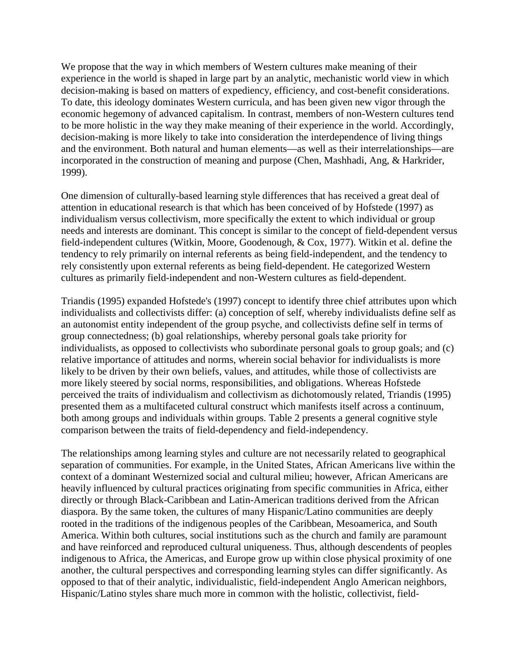We propose that the way in which members of Western cultures make meaning of their experience in the world is shaped in large part by an analytic, mechanistic world view in which decision-making is based on matters of expediency, efficiency, and cost-benefit considerations. To date, this ideology dominates Western curricula, and has been given new vigor through the economic hegemony of advanced capitalism. In contrast, members of non-Western cultures tend to be more holistic in the way they make meaning of their experience in the world. Accordingly, decision-making is more likely to take into consideration the interdependence of living things and the environment. Both natural and human elements—as well as their interrelationships—are incorporated in the construction of meaning and purpose (Chen, Mashhadi, Ang, & Harkrider, 1999).

One dimension of culturally-based learning style differences that has received a great deal of attention in educational research is that which has been conceived of by Hofstede (1997) as individualism versus collectivism, more specifically the extent to which individual or group needs and interests are dominant. This concept is similar to the concept of field-dependent versus field-independent cultures (Witkin, Moore, Goodenough, & Cox, 1977). Witkin et al. define the tendency to rely primarily on internal referents as being field-independent, and the tendency to rely consistently upon external referents as being field-dependent. He categorized Western cultures as primarily field-independent and non-Western cultures as field-dependent.

Triandis (1995) expanded Hofstede's (1997) concept to identify three chief attributes upon which individualists and collectivists differ: (a) conception of self, whereby individualists define self as an autonomist entity independent of the group psyche, and collectivists define self in terms of group connectedness; (b) goal relationships, whereby personal goals take priority for individualists, as opposed to collectivists who subordinate personal goals to group goals; and (c) relative importance of attitudes and norms, wherein social behavior for individualists is more likely to be driven by their own beliefs, values, and attitudes, while those of collectivists are more likely steered by social norms, responsibilities, and obligations. Whereas Hofstede perceived the traits of individualism and collectivism as dichotomously related, Triandis (1995) presented them as a multifaceted cultural construct which manifests itself across a continuum, both among groups and individuals within groups. Table 2 presents a general cognitive style comparison between the traits of field-dependency and field-independency.

The relationships among learning styles and culture are not necessarily related to geographical separation of communities. For example, in the United States, African Americans live within the context of a dominant Westernized social and cultural milieu; however, African Americans are heavily influenced by cultural practices originating from specific communities in Africa, either directly or through Black-Caribbean and Latin-American traditions derived from the African diaspora. By the same token, the cultures of many Hispanic/Latino communities are deeply rooted in the traditions of the indigenous peoples of the Caribbean, Mesoamerica, and South America. Within both cultures, social institutions such as the church and family are paramount and have reinforced and reproduced cultural uniqueness. Thus, although descendents of peoples indigenous to Africa, the Americas, and Europe grow up within close physical proximity of one another, the cultural perspectives and corresponding learning styles can differ significantly. As opposed to that of their analytic, individualistic, field-independent Anglo American neighbors, Hispanic/Latino styles share much more in common with the holistic, collectivist, field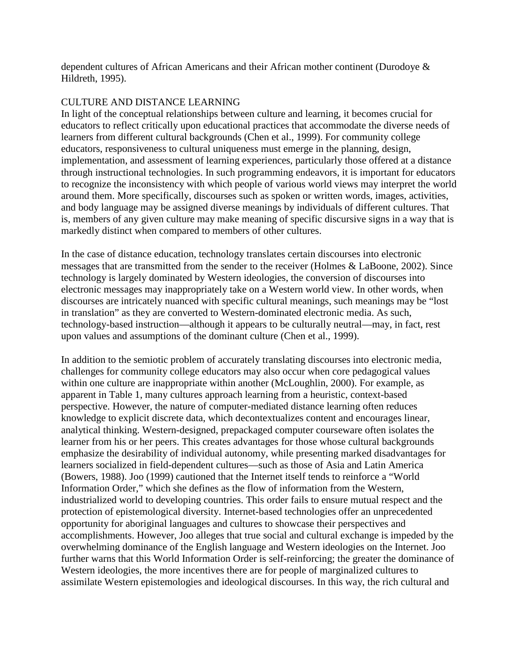dependent cultures of African Americans and their African mother continent (Durodoye & Hildreth, 1995).

#### CULTURE AND DISTANCE LEARNING

In light of the conceptual relationships between culture and learning, it becomes crucial for educators to reflect critically upon educational practices that accommodate the diverse needs of learners from different cultural backgrounds (Chen et al., 1999). For community college educators, responsiveness to cultural uniqueness must emerge in the planning, design, implementation, and assessment of learning experiences, particularly those offered at a distance through instructional technologies. In such programming endeavors, it is important for educators to recognize the inconsistency with which people of various world views may interpret the world around them. More specifically, discourses such as spoken or written words, images, activities, and body language may be assigned diverse meanings by individuals of different cultures. That is, members of any given culture may make meaning of specific discursive signs in a way that is markedly distinct when compared to members of other cultures.

In the case of distance education, technology translates certain discourses into electronic messages that are transmitted from the sender to the receiver (Holmes & LaBoone, 2002). Since technology is largely dominated by Western ideologies, the conversion of discourses into electronic messages may inappropriately take on a Western world view. In other words, when discourses are intricately nuanced with specific cultural meanings, such meanings may be "lost in translation" as they are converted to Western-dominated electronic media. As such, technology-based instruction—although it appears to be culturally neutral—may, in fact, rest upon values and assumptions of the dominant culture (Chen et al., 1999).

In addition to the semiotic problem of accurately translating discourses into electronic media, challenges for community college educators may also occur when core pedagogical values within one culture are inappropriate within another (McLoughlin, 2000). For example, as apparent in Table 1, many cultures approach learning from a heuristic, context-based perspective. However, the nature of computer-mediated distance learning often reduces knowledge to explicit discrete data, which decontextualizes content and encourages linear, analytical thinking. Western-designed, prepackaged computer courseware often isolates the learner from his or her peers. This creates advantages for those whose cultural backgrounds emphasize the desirability of individual autonomy, while presenting marked disadvantages for learners socialized in field-dependent cultures—such as those of Asia and Latin America (Bowers, 1988). Joo (1999) cautioned that the Internet itself tends to reinforce a "World Information Order," which she defines as the flow of information from the Western, industrialized world to developing countries. This order fails to ensure mutual respect and the protection of epistemological diversity. Internet-based technologies offer an unprecedented opportunity for aboriginal languages and cultures to showcase their perspectives and accomplishments. However, Joo alleges that true social and cultural exchange is impeded by the overwhelming dominance of the English language and Western ideologies on the Internet. Joo further warns that this World Information Order is self-reinforcing; the greater the dominance of Western ideologies, the more incentives there are for people of marginalized cultures to assimilate Western epistemologies and ideological discourses. In this way, the rich cultural and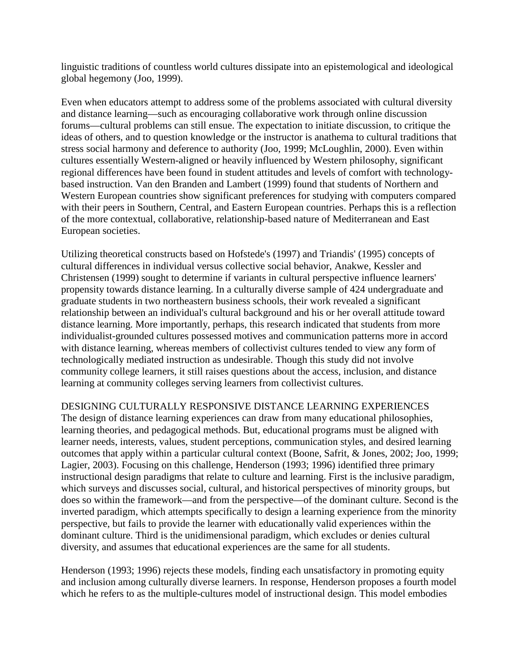linguistic traditions of countless world cultures dissipate into an epistemological and ideological global hegemony (Joo, 1999).

Even when educators attempt to address some of the problems associated with cultural diversity and distance learning—such as encouraging collaborative work through online discussion forums—cultural problems can still ensue. The expectation to initiate discussion, to critique the ideas of others, and to question knowledge or the instructor is anathema to cultural traditions that stress social harmony and deference to authority (Joo, 1999; McLoughlin, 2000). Even within cultures essentially Western-aligned or heavily influenced by Western philosophy, significant regional differences have been found in student attitudes and levels of comfort with technologybased instruction. Van den Branden and Lambert (1999) found that students of Northern and Western European countries show significant preferences for studying with computers compared with their peers in Southern, Central, and Eastern European countries. Perhaps this is a reflection of the more contextual, collaborative, relationship-based nature of Mediterranean and East European societies.

Utilizing theoretical constructs based on Hofstede's (1997) and Triandis' (1995) concepts of cultural differences in individual versus collective social behavior, Anakwe, Kessler and Christensen (1999) sought to determine if variants in cultural perspective influence learners' propensity towards distance learning. In a culturally diverse sample of 424 undergraduate and graduate students in two northeastern business schools, their work revealed a significant relationship between an individual's cultural background and his or her overall attitude toward distance learning. More importantly, perhaps, this research indicated that students from more individualist-grounded cultures possessed motives and communication patterns more in accord with distance learning, whereas members of collectivist cultures tended to view any form of technologically mediated instruction as undesirable. Though this study did not involve community college learners, it still raises questions about the access, inclusion, and distance learning at community colleges serving learners from collectivist cultures.

## DESIGNING CULTURALLY RESPONSIVE DISTANCE LEARNING EXPERIENCES

The design of distance learning experiences can draw from many educational philosophies, learning theories, and pedagogical methods. But, educational programs must be aligned with learner needs, interests, values, student perceptions, communication styles, and desired learning outcomes that apply within a particular cultural context (Boone, Safrit, & Jones, 2002; Joo, 1999; Lagier, 2003). Focusing on this challenge, Henderson (1993; 1996) identified three primary instructional design paradigms that relate to culture and learning. First is the inclusive paradigm, which surveys and discusses social, cultural, and historical perspectives of minority groups, but does so within the framework—and from the perspective—of the dominant culture. Second is the inverted paradigm, which attempts specifically to design a learning experience from the minority perspective, but fails to provide the learner with educationally valid experiences within the dominant culture. Third is the unidimensional paradigm, which excludes or denies cultural diversity, and assumes that educational experiences are the same for all students.

Henderson (1993; 1996) rejects these models, finding each unsatisfactory in promoting equity and inclusion among culturally diverse learners. In response, Henderson proposes a fourth model which he refers to as the multiple-cultures model of instructional design. This model embodies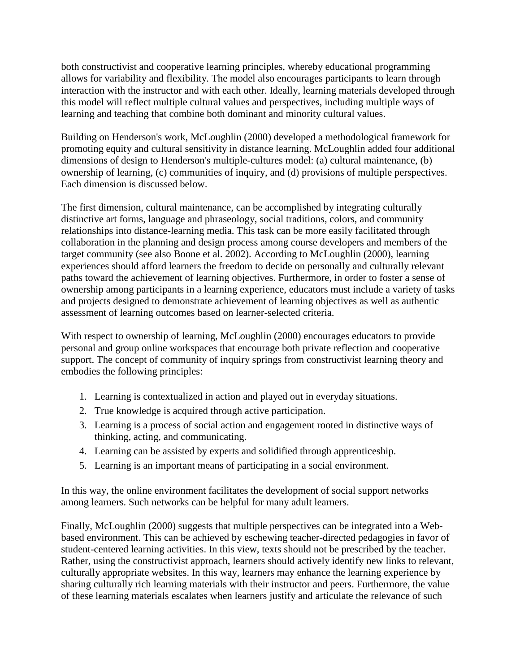both constructivist and cooperative learning principles, whereby educational programming allows for variability and flexibility. The model also encourages participants to learn through interaction with the instructor and with each other. Ideally, learning materials developed through this model will reflect multiple cultural values and perspectives, including multiple ways of learning and teaching that combine both dominant and minority cultural values.

Building on Henderson's work, McLoughlin (2000) developed a methodological framework for promoting equity and cultural sensitivity in distance learning. McLoughlin added four additional dimensions of design to Henderson's multiple-cultures model: (a) cultural maintenance, (b) ownership of learning, (c) communities of inquiry, and (d) provisions of multiple perspectives. Each dimension is discussed below.

The first dimension, cultural maintenance, can be accomplished by integrating culturally distinctive art forms, language and phraseology, social traditions, colors, and community relationships into distance-learning media. This task can be more easily facilitated through collaboration in the planning and design process among course developers and members of the target community (see also Boone et al. 2002). According to McLoughlin (2000), learning experiences should afford learners the freedom to decide on personally and culturally relevant paths toward the achievement of learning objectives. Furthermore, in order to foster a sense of ownership among participants in a learning experience, educators must include a variety of tasks and projects designed to demonstrate achievement of learning objectives as well as authentic assessment of learning outcomes based on learner-selected criteria.

With respect to ownership of learning, McLoughlin (2000) encourages educators to provide personal and group online workspaces that encourage both private reflection and cooperative support. The concept of community of inquiry springs from constructivist learning theory and embodies the following principles:

- 1. Learning is contextualized in action and played out in everyday situations.
- 2. True knowledge is acquired through active participation.
- 3. Learning is a process of social action and engagement rooted in distinctive ways of thinking, acting, and communicating.
- 4. Learning can be assisted by experts and solidified through apprenticeship.
- 5. Learning is an important means of participating in a social environment.

In this way, the online environment facilitates the development of social support networks among learners. Such networks can be helpful for many adult learners.

Finally, McLoughlin (2000) suggests that multiple perspectives can be integrated into a Webbased environment. This can be achieved by eschewing teacher-directed pedagogies in favor of student-centered learning activities. In this view, texts should not be prescribed by the teacher. Rather, using the constructivist approach, learners should actively identify new links to relevant, culturally appropriate websites. In this way, learners may enhance the learning experience by sharing culturally rich learning materials with their instructor and peers. Furthermore, the value of these learning materials escalates when learners justify and articulate the relevance of such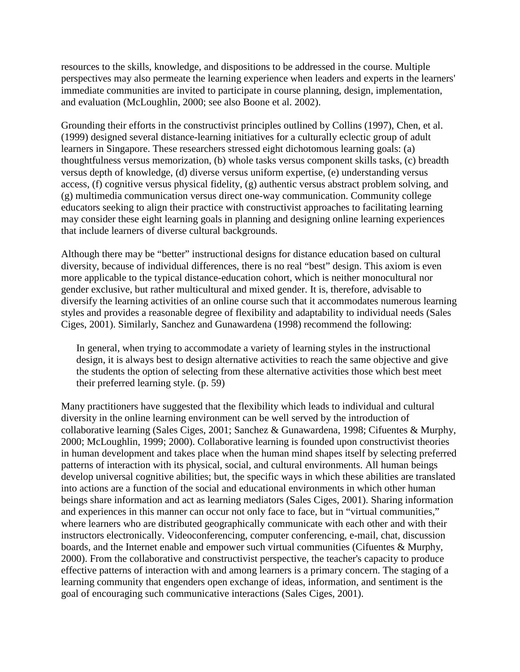resources to the skills, knowledge, and dispositions to be addressed in the course. Multiple perspectives may also permeate the learning experience when leaders and experts in the learners' immediate communities are invited to participate in course planning, design, implementation, and evaluation (McLoughlin, 2000; see also Boone et al. 2002).

Grounding their efforts in the constructivist principles outlined by Collins (1997), Chen, et al. (1999) designed several distance-learning initiatives for a culturally eclectic group of adult learners in Singapore. These researchers stressed eight dichotomous learning goals: (a) thoughtfulness versus memorization, (b) whole tasks versus component skills tasks, (c) breadth versus depth of knowledge, (d) diverse versus uniform expertise, (e) understanding versus access, (f) cognitive versus physical fidelity, (g) authentic versus abstract problem solving, and (g) multimedia communication versus direct one-way communication. Community college educators seeking to align their practice with constructivist approaches to facilitating learning may consider these eight learning goals in planning and designing online learning experiences that include learners of diverse cultural backgrounds.

Although there may be "better" instructional designs for distance education based on cultural diversity, because of individual differences, there is no real "best" design. This axiom is even more applicable to the typical distance-education cohort, which is neither monocultural nor gender exclusive, but rather multicultural and mixed gender. It is, therefore, advisable to diversify the learning activities of an online course such that it accommodates numerous learning styles and provides a reasonable degree of flexibility and adaptability to individual needs (Sales Ciges, 2001). Similarly, Sanchez and Gunawardena (1998) recommend the following:

In general, when trying to accommodate a variety of learning styles in the instructional design, it is always best to design alternative activities to reach the same objective and give the students the option of selecting from these alternative activities those which best meet their preferred learning style. (p. 59)

Many practitioners have suggested that the flexibility which leads to individual and cultural diversity in the online learning environment can be well served by the introduction of collaborative learning (Sales Ciges, 2001; Sanchez & Gunawardena, 1998; Cifuentes & Murphy, 2000; McLoughlin, 1999; 2000). Collaborative learning is founded upon constructivist theories in human development and takes place when the human mind shapes itself by selecting preferred patterns of interaction with its physical, social, and cultural environments. All human beings develop universal cognitive abilities; but, the specific ways in which these abilities are translated into actions are a function of the social and educational environments in which other human beings share information and act as learning mediators (Sales Ciges, 2001). Sharing information and experiences in this manner can occur not only face to face, but in "virtual communities," where learners who are distributed geographically communicate with each other and with their instructors electronically. Videoconferencing, computer conferencing, e-mail, chat, discussion boards, and the Internet enable and empower such virtual communities (Cifuentes & Murphy, 2000). From the collaborative and constructivist perspective, the teacher's capacity to produce effective patterns of interaction with and among learners is a primary concern. The staging of a learning community that engenders open exchange of ideas, information, and sentiment is the goal of encouraging such communicative interactions (Sales Ciges, 2001).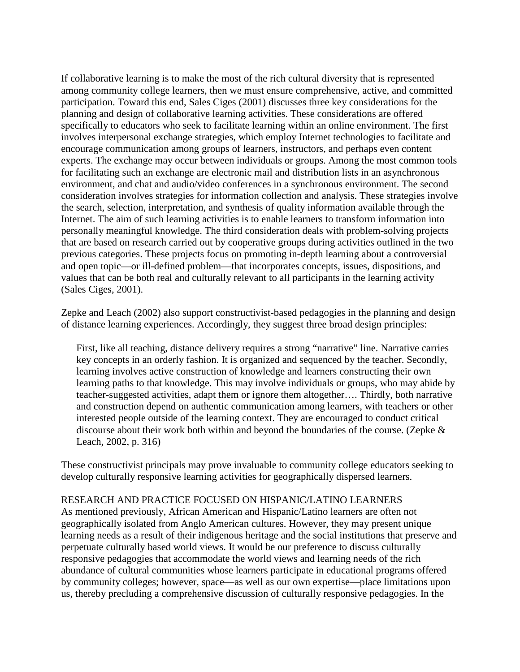If collaborative learning is to make the most of the rich cultural diversity that is represented among community college learners, then we must ensure comprehensive, active, and committed participation. Toward this end, Sales Ciges (2001) discusses three key considerations for the planning and design of collaborative learning activities. These considerations are offered specifically to educators who seek to facilitate learning within an online environment. The first involves interpersonal exchange strategies, which employ Internet technologies to facilitate and encourage communication among groups of learners, instructors, and perhaps even content experts. The exchange may occur between individuals or groups. Among the most common tools for facilitating such an exchange are electronic mail and distribution lists in an asynchronous environment, and chat and audio/video conferences in a synchronous environment. The second consideration involves strategies for information collection and analysis. These strategies involve the search, selection, interpretation, and synthesis of quality information available through the Internet. The aim of such learning activities is to enable learners to transform information into personally meaningful knowledge. The third consideration deals with problem-solving projects that are based on research carried out by cooperative groups during activities outlined in the two previous categories. These projects focus on promoting in-depth learning about a controversial and open topic—or ill-defined problem—that incorporates concepts, issues, dispositions, and values that can be both real and culturally relevant to all participants in the learning activity (Sales Ciges, 2001).

Zepke and Leach (2002) also support constructivist-based pedagogies in the planning and design of distance learning experiences. Accordingly, they suggest three broad design principles:

First, like all teaching, distance delivery requires a strong "narrative" line. Narrative carries key concepts in an orderly fashion. It is organized and sequenced by the teacher. Secondly, learning involves active construction of knowledge and learners constructing their own learning paths to that knowledge. This may involve individuals or groups, who may abide by teacher-suggested activities, adapt them or ignore them altogether…. Thirdly, both narrative and construction depend on authentic communication among learners, with teachers or other interested people outside of the learning context. They are encouraged to conduct critical discourse about their work both within and beyond the boundaries of the course. (Zepke  $\&$ Leach, 2002, p. 316)

These constructivist principals may prove invaluable to community college educators seeking to develop culturally responsive learning activities for geographically dispersed learners.

### RESEARCH AND PRACTICE FOCUSED ON HISPANIC/LATINO LEARNERS

As mentioned previously, African American and Hispanic/Latino learners are often not geographically isolated from Anglo American cultures. However, they may present unique learning needs as a result of their indigenous heritage and the social institutions that preserve and perpetuate culturally based world views. It would be our preference to discuss culturally responsive pedagogies that accommodate the world views and learning needs of the rich abundance of cultural communities whose learners participate in educational programs offered by community colleges; however, space—as well as our own expertise—place limitations upon us, thereby precluding a comprehensive discussion of culturally responsive pedagogies. In the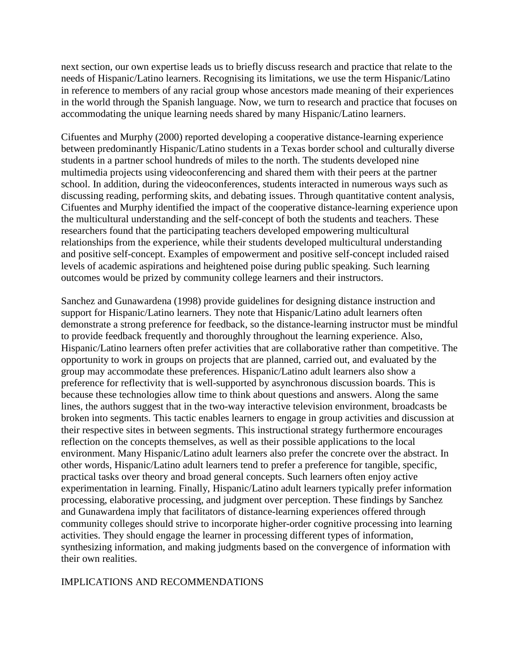next section, our own expertise leads us to briefly discuss research and practice that relate to the needs of Hispanic/Latino learners. Recognising its limitations, we use the term Hispanic/Latino in reference to members of any racial group whose ancestors made meaning of their experiences in the world through the Spanish language. Now, we turn to research and practice that focuses on accommodating the unique learning needs shared by many Hispanic/Latino learners.

Cifuentes and Murphy (2000) reported developing a cooperative distance-learning experience between predominantly Hispanic/Latino students in a Texas border school and culturally diverse students in a partner school hundreds of miles to the north. The students developed nine multimedia projects using videoconferencing and shared them with their peers at the partner school. In addition, during the videoconferences, students interacted in numerous ways such as discussing reading, performing skits, and debating issues. Through quantitative content analysis, Cifuentes and Murphy identified the impact of the cooperative distance-learning experience upon the multicultural understanding and the self-concept of both the students and teachers. These researchers found that the participating teachers developed empowering multicultural relationships from the experience, while their students developed multicultural understanding and positive self-concept. Examples of empowerment and positive self-concept included raised levels of academic aspirations and heightened poise during public speaking. Such learning outcomes would be prized by community college learners and their instructors.

Sanchez and Gunawardena (1998) provide guidelines for designing distance instruction and support for Hispanic/Latino learners. They note that Hispanic/Latino adult learners often demonstrate a strong preference for feedback, so the distance-learning instructor must be mindful to provide feedback frequently and thoroughly throughout the learning experience. Also, Hispanic/Latino learners often prefer activities that are collaborative rather than competitive. The opportunity to work in groups on projects that are planned, carried out, and evaluated by the group may accommodate these preferences. Hispanic/Latino adult learners also show a preference for reflectivity that is well-supported by asynchronous discussion boards. This is because these technologies allow time to think about questions and answers. Along the same lines, the authors suggest that in the two-way interactive television environment, broadcasts be broken into segments. This tactic enables learners to engage in group activities and discussion at their respective sites in between segments. This instructional strategy furthermore encourages reflection on the concepts themselves, as well as their possible applications to the local environment. Many Hispanic/Latino adult learners also prefer the concrete over the abstract. In other words, Hispanic/Latino adult learners tend to prefer a preference for tangible, specific, practical tasks over theory and broad general concepts. Such learners often enjoy active experimentation in learning. Finally, Hispanic/Latino adult learners typically prefer information processing, elaborative processing, and judgment over perception. These findings by Sanchez and Gunawardena imply that facilitators of distance-learning experiences offered through community colleges should strive to incorporate higher-order cognitive processing into learning activities. They should engage the learner in processing different types of information, synthesizing information, and making judgments based on the convergence of information with their own realities.

#### IMPLICATIONS AND RECOMMENDATIONS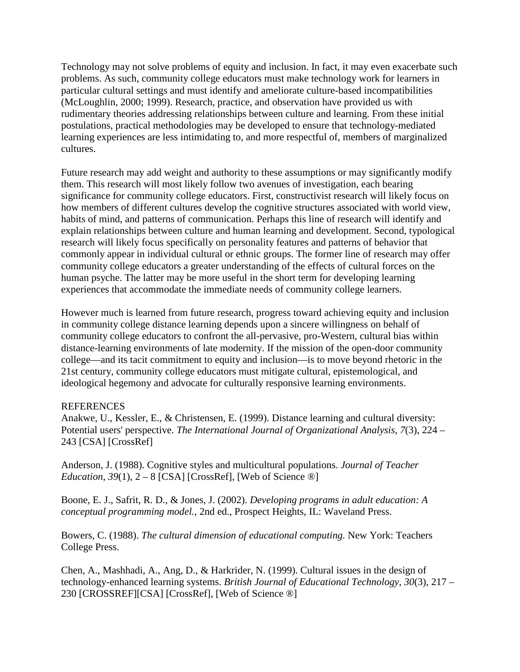Technology may not solve problems of equity and inclusion. In fact, it may even exacerbate such problems. As such, community college educators must make technology work for learners in particular cultural settings and must identify and ameliorate culture-based incompatibilities (McLoughlin, 2000; 1999). Research, practice, and observation have provided us with rudimentary theories addressing relationships between culture and learning. From these initial postulations, practical methodologies may be developed to ensure that technology-mediated learning experiences are less intimidating to, and more respectful of, members of marginalized cultures.

Future research may add weight and authority to these assumptions or may significantly modify them. This research will most likely follow two avenues of investigation, each bearing significance for community college educators. First, constructivist research will likely focus on how members of different cultures develop the cognitive structures associated with world view, habits of mind, and patterns of communication. Perhaps this line of research will identify and explain relationships between culture and human learning and development. Second, typological research will likely focus specifically on personality features and patterns of behavior that commonly appear in individual cultural or ethnic groups. The former line of research may offer community college educators a greater understanding of the effects of cultural forces on the human psyche. The latter may be more useful in the short term for developing learning experiences that accommodate the immediate needs of community college learners.

However much is learned from future research, progress toward achieving equity and inclusion in community college distance learning depends upon a sincere willingness on behalf of community college educators to confront the all-pervasive, pro-Western, cultural bias within distance-learning environments of late modernity. If the mission of the open-door community college—and its tacit commitment to equity and inclusion—is to move beyond rhetoric in the 21st century, community college educators must mitigate cultural, epistemological, and ideological hegemony and advocate for culturally responsive learning environments.

#### **REFERENCES**

Anakwe, U., Kessler, E., & Christensen, E. (1999). Distance learning and cultural diversity: Potential users' perspective. *The International Journal of Organizational Analysis*, *7*(3), 224 – 243 [CSA] [CrossRef]

Anderson, J. (1988). Cognitive styles and multicultural populations. *Journal of Teacher Education, 39(1), 2 – 8* [CSA] [CrossRef], [Web of Science  $\mathcal{D}$ ]

Boone, E. J., Safrit, R. D., & Jones, J. (2002). *Developing programs in adult education: A conceptual programming model.*, 2nd ed., Prospect Heights, IL: Waveland Press.

Bowers, C. (1988). *The cultural dimension of educational computing.* New York: Teachers College Press.

Chen, A., Mashhadi, A., Ang, D., & Harkrider, N. (1999). Cultural issues in the design of technology-enhanced learning systems. *British Journal of Educational Technology*, *30*(3), 217 – 230 [CROSSREF][CSA] [CrossRef], [Web of Science ®]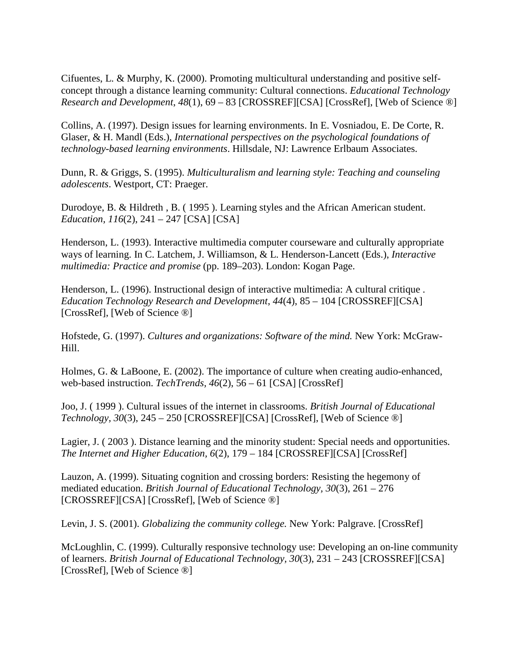Cifuentes, L. & Murphy, K. (2000). Promoting multicultural understanding and positive selfconcept through a distance learning community: Cultural connections. *Educational Technology Research and Development*, *48*(1), 69 – 83 [CROSSREF][CSA] [CrossRef], [Web of Science ®]

Collins, A. (1997). Design issues for learning environments. In E. Vosniadou, E. De Corte, R. Glaser, & H. Mandl (Eds.), *International perspectives on the psychological foundations of technology-based learning environments*. Hillsdale, NJ: Lawrence Erlbaum Associates.

Dunn, R. & Griggs, S. (1995). *Multiculturalism and learning style: Teaching and counseling adolescents*. Westport, CT: Praeger.

Durodoye, B. & Hildreth , B. ( 1995 ). Learning styles and the African American student. *Education, 116*(2), 241 – 247 [CSA] [CSA]

Henderson, L. (1993). Interactive multimedia computer courseware and culturally appropriate ways of learning. In C. Latchem, J. Williamson, & L. Henderson-Lancett (Eds.), *Interactive multimedia: Practice and promise* (pp. 189–203). London: Kogan Page.

Henderson, L. (1996). Instructional design of interactive multimedia: A cultural critique . *Education Technology Research and Development*, *44*(4), 85 – 104 [CROSSREF][CSA] [CrossRef], [Web of Science ®]

Hofstede, G. (1997). *Cultures and organizations: Software of the mind.* New York: McGraw-Hill.

Holmes, G. & LaBoone, E. (2002). The importance of culture when creating audio-enhanced, web-based instruction. *TechTrends*, 46(2), 56 – 61 [CSA] [CrossRef]

Joo, J. ( 1999 ). Cultural issues of the internet in classrooms. *British Journal of Educational Technology, 30*(3), 245 – 250 [CROSSREF][CSA] [CrossRef], [Web of Science ®]

Lagier, J. ( 2003 ). Distance learning and the minority student: Special needs and opportunities. *The Internet and Higher Education, 6*(2), 179 – 184 [CROSSREF][CSA] [CrossRef]

Lauzon, A. (1999). Situating cognition and crossing borders: Resisting the hegemony of mediated education. *British Journal of Educational Technology, 30*(3), 261 – 276 [CROSSREF][CSA] [CrossRef], [Web of Science ®]

Levin, J. S. (2001). *Globalizing the community college.* New York: Palgrave. [CrossRef]

McLoughlin, C. (1999). Culturally responsive technology use: Developing an on-line community of learners. *British Journal of Educational Technology, 30*(3), 231 – 243 [CROSSREF][CSA] [CrossRef], [Web of Science ®]